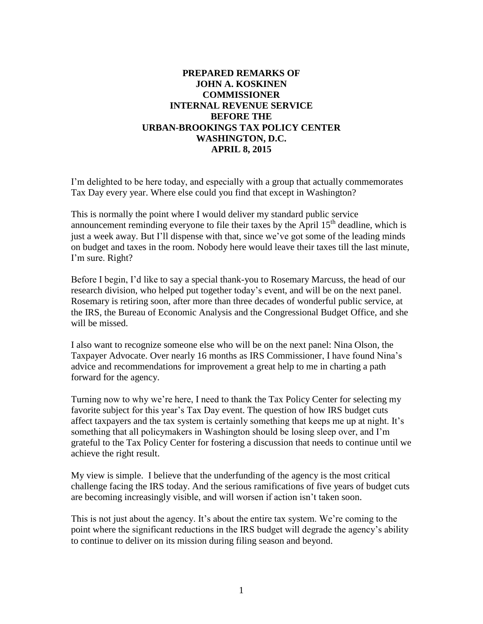## **PREPARED REMARKS OF JOHN A. KOSKINEN COMMISSIONER INTERNAL REVENUE SERVICE BEFORE THE URBAN-BROOKINGS TAX POLICY CENTER WASHINGTON, D.C. APRIL 8, 2015**

I'm delighted to be here today, and especially with a group that actually commemorates Tax Day every year. Where else could you find that except in Washington?

This is normally the point where I would deliver my standard public service announcement reminding everyone to file their taxes by the April  $15<sup>th</sup>$  deadline, which is just a week away. But I'll dispense with that, since we've got some of the leading minds on budget and taxes in the room. Nobody here would leave their taxes till the last minute, I'm sure. Right?

Before I begin, I'd like to say a special thank-you to Rosemary Marcuss, the head of our research division, who helped put together today's event, and will be on the next panel. Rosemary is retiring soon, after more than three decades of wonderful public service, at the IRS, the Bureau of Economic Analysis and the Congressional Budget Office, and she will be missed.

I also want to recognize someone else who will be on the next panel: Nina Olson, the Taxpayer Advocate. Over nearly 16 months as IRS Commissioner, I have found Nina's advice and recommendations for improvement a great help to me in charting a path forward for the agency.

Turning now to why we're here, I need to thank the Tax Policy Center for selecting my favorite subject for this year's Tax Day event. The question of how IRS budget cuts affect taxpayers and the tax system is certainly something that keeps me up at night. It's something that all policymakers in Washington should be losing sleep over, and I'm grateful to the Tax Policy Center for fostering a discussion that needs to continue until we achieve the right result.

My view is simple. I believe that the underfunding of the agency is the most critical challenge facing the IRS today. And the serious ramifications of five years of budget cuts are becoming increasingly visible, and will worsen if action isn't taken soon.

This is not just about the agency. It's about the entire tax system. We're coming to the point where the significant reductions in the IRS budget will degrade the agency's ability to continue to deliver on its mission during filing season and beyond.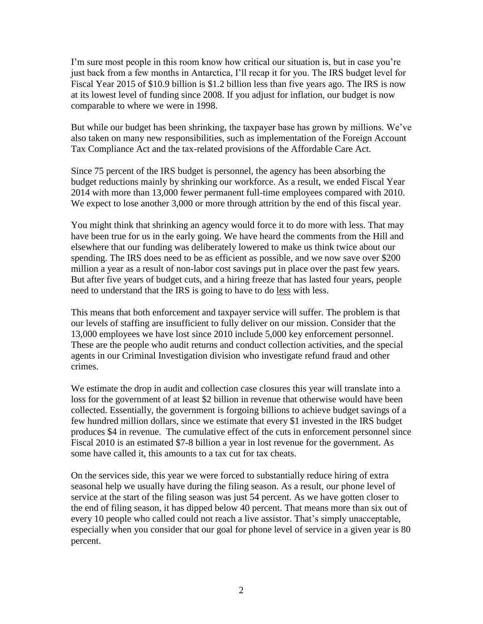I'm sure most people in this room know how critical our situation is, but in case you're just back from a few months in Antarctica, I'll recap it for you. The IRS budget level for Fiscal Year 2015 of \$10.9 billion is \$1.2 billion less than five years ago. The IRS is now at its lowest level of funding since 2008. If you adjust for inflation, our budget is now comparable to where we were in 1998.

But while our budget has been shrinking, the taxpayer base has grown by millions. We've also taken on many new responsibilities, such as implementation of the Foreign Account Tax Compliance Act and the tax-related provisions of the Affordable Care Act.

Since 75 percent of the IRS budget is personnel, the agency has been absorbing the budget reductions mainly by shrinking our workforce. As a result, we ended Fiscal Year 2014 with more than 13,000 fewer permanent full-time employees compared with 2010. We expect to lose another 3,000 or more through attrition by the end of this fiscal year.

You might think that shrinking an agency would force it to do more with less. That may have been true for us in the early going. We have heard the comments from the Hill and elsewhere that our funding was deliberately lowered to make us think twice about our spending. The IRS does need to be as efficient as possible, and we now save over \$200 million a year as a result of non-labor cost savings put in place over the past few years. But after five years of budget cuts, and a hiring freeze that has lasted four years, people need to understand that the IRS is going to have to do less with less.

This means that both enforcement and taxpayer service will suffer. The problem is that our levels of staffing are insufficient to fully deliver on our mission. Consider that the 13,000 employees we have lost since 2010 include 5,000 key enforcement personnel. These are the people who audit returns and conduct collection activities, and the special agents in our Criminal Investigation division who investigate refund fraud and other crimes.

We estimate the drop in audit and collection case closures this year will translate into a loss for the government of at least \$2 billion in revenue that otherwise would have been collected. Essentially, the government is forgoing billions to achieve budget savings of a few hundred million dollars, since we estimate that every \$1 invested in the IRS budget produces \$4 in revenue. The cumulative effect of the cuts in enforcement personnel since Fiscal 2010 is an estimated \$7-8 billion a year in lost revenue for the government. As some have called it, this amounts to a tax cut for tax cheats.

On the services side, this year we were forced to substantially reduce hiring of extra seasonal help we usually have during the filing season. As a result, our phone level of service at the start of the filing season was just 54 percent. As we have gotten closer to the end of filing season, it has dipped below 40 percent. That means more than six out of every 10 people who called could not reach a live assistor. That's simply unacceptable, especially when you consider that our goal for phone level of service in a given year is 80 percent.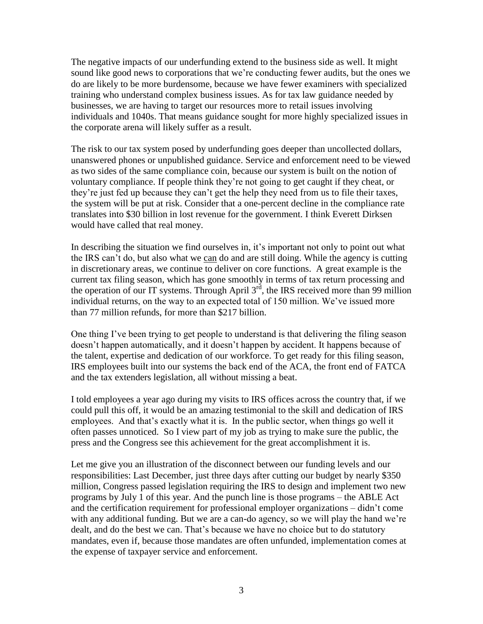The negative impacts of our underfunding extend to the business side as well. It might sound like good news to corporations that we're conducting fewer audits, but the ones we do are likely to be more burdensome, because we have fewer examiners with specialized training who understand complex business issues. As for tax law guidance needed by businesses, we are having to target our resources more to retail issues involving individuals and 1040s. That means guidance sought for more highly specialized issues in the corporate arena will likely suffer as a result.

The risk to our tax system posed by underfunding goes deeper than uncollected dollars, unanswered phones or unpublished guidance. Service and enforcement need to be viewed as two sides of the same compliance coin, because our system is built on the notion of voluntary compliance. If people think they're not going to get caught if they cheat, or they're just fed up because they can't get the help they need from us to file their taxes, the system will be put at risk. Consider that a one-percent decline in the compliance rate translates into \$30 billion in lost revenue for the government. I think Everett Dirksen would have called that real money.

In describing the situation we find ourselves in, it's important not only to point out what the IRS can't do, but also what we can do and are still doing. While the agency is cutting in discretionary areas, we continue to deliver on core functions. A great example is the current tax filing season, which has gone smoothly in terms of tax return processing and the operation of our IT systems. Through April  $3<sup>rd</sup>$ , the IRS received more than 99 million individual returns, on the way to an expected total of 150 million. We've issued more than 77 million refunds, for more than \$217 billion.

One thing I've been trying to get people to understand is that delivering the filing season doesn't happen automatically, and it doesn't happen by accident. It happens because of the talent, expertise and dedication of our workforce. To get ready for this filing season, IRS employees built into our systems the back end of the ACA, the front end of FATCA and the tax extenders legislation, all without missing a beat.

I told employees a year ago during my visits to IRS offices across the country that, if we could pull this off, it would be an amazing testimonial to the skill and dedication of IRS employees. And that's exactly what it is. In the public sector, when things go well it often passes unnoticed. So I view part of my job as trying to make sure the public, the press and the Congress see this achievement for the great accomplishment it is.

Let me give you an illustration of the disconnect between our funding levels and our responsibilities: Last December, just three days after cutting our budget by nearly \$350 million, Congress passed legislation requiring the IRS to design and implement two new programs by July 1 of this year. And the punch line is those programs – the ABLE Act and the certification requirement for professional employer organizations – didn't come with any additional funding. But we are a can-do agency, so we will play the hand we're dealt, and do the best we can. That's because we have no choice but to do statutory mandates, even if, because those mandates are often unfunded, implementation comes at the expense of taxpayer service and enforcement.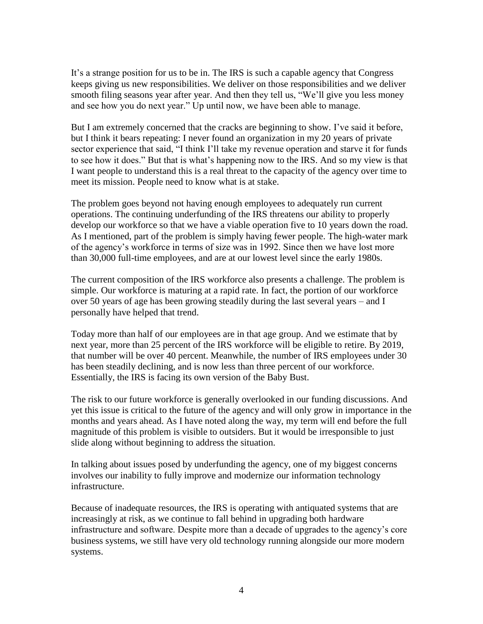It's a strange position for us to be in. The IRS is such a capable agency that Congress keeps giving us new responsibilities. We deliver on those responsibilities and we deliver smooth filing seasons year after year. And then they tell us, "We'll give you less money and see how you do next year." Up until now, we have been able to manage.

But I am extremely concerned that the cracks are beginning to show. I've said it before, but I think it bears repeating: I never found an organization in my 20 years of private sector experience that said, "I think I'll take my revenue operation and starve it for funds to see how it does." But that is what's happening now to the IRS. And so my view is that I want people to understand this is a real threat to the capacity of the agency over time to meet its mission. People need to know what is at stake.

The problem goes beyond not having enough employees to adequately run current operations. The continuing underfunding of the IRS threatens our ability to properly develop our workforce so that we have a viable operation five to 10 years down the road. As I mentioned, part of the problem is simply having fewer people. The high-water mark of the agency's workforce in terms of size was in 1992. Since then we have lost more than 30,000 full-time employees, and are at our lowest level since the early 1980s.

The current composition of the IRS workforce also presents a challenge. The problem is simple. Our workforce is maturing at a rapid rate. In fact, the portion of our workforce over 50 years of age has been growing steadily during the last several years – and I personally have helped that trend.

Today more than half of our employees are in that age group. And we estimate that by next year, more than 25 percent of the IRS workforce will be eligible to retire. By 2019, that number will be over 40 percent. Meanwhile, the number of IRS employees under 30 has been steadily declining, and is now less than three percent of our workforce. Essentially, the IRS is facing its own version of the Baby Bust.

The risk to our future workforce is generally overlooked in our funding discussions. And yet this issue is critical to the future of the agency and will only grow in importance in the months and years ahead. As I have noted along the way, my term will end before the full magnitude of this problem is visible to outsiders. But it would be irresponsible to just slide along without beginning to address the situation.

In talking about issues posed by underfunding the agency, one of my biggest concerns involves our inability to fully improve and modernize our information technology infrastructure.

Because of inadequate resources, the IRS is operating with antiquated systems that are increasingly at risk, as we continue to fall behind in upgrading both hardware infrastructure and software. Despite more than a decade of upgrades to the agency's core business systems, we still have very old technology running alongside our more modern systems.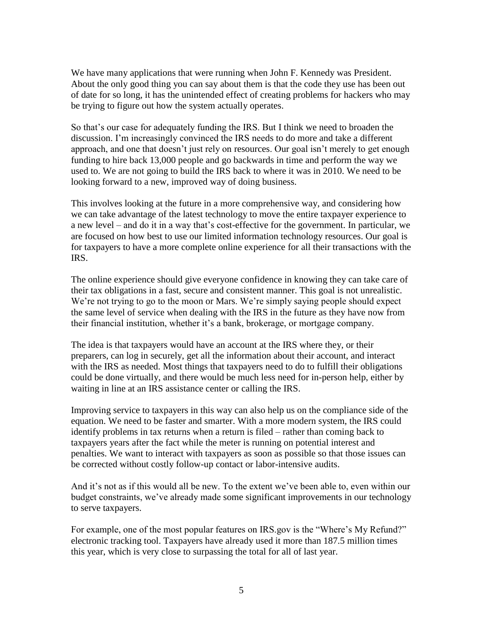We have many applications that were running when John F. Kennedy was President. About the only good thing you can say about them is that the code they use has been out of date for so long, it has the unintended effect of creating problems for hackers who may be trying to figure out how the system actually operates.

So that's our case for adequately funding the IRS. But I think we need to broaden the discussion. I'm increasingly convinced the IRS needs to do more and take a different approach, and one that doesn't just rely on resources. Our goal isn't merely to get enough funding to hire back 13,000 people and go backwards in time and perform the way we used to. We are not going to build the IRS back to where it was in 2010. We need to be looking forward to a new, improved way of doing business.

This involves looking at the future in a more comprehensive way, and considering how we can take advantage of the latest technology to move the entire taxpayer experience to a new level – and do it in a way that's cost-effective for the government. In particular, we are focused on how best to use our limited information technology resources. Our goal is for taxpayers to have a more complete online experience for all their transactions with the IRS.

The online experience should give everyone confidence in knowing they can take care of their tax obligations in a fast, secure and consistent manner. This goal is not unrealistic. We're not trying to go to the moon or Mars. We're simply saying people should expect the same level of service when dealing with the IRS in the future as they have now from their financial institution, whether it's a bank, brokerage, or mortgage company.

The idea is that taxpayers would have an account at the IRS where they, or their preparers, can log in securely, get all the information about their account, and interact with the IRS as needed. Most things that taxpayers need to do to fulfill their obligations could be done virtually, and there would be much less need for in-person help, either by waiting in line at an IRS assistance center or calling the IRS.

Improving service to taxpayers in this way can also help us on the compliance side of the equation. We need to be faster and smarter. With a more modern system, the IRS could identify problems in tax returns when a return is filed – rather than coming back to taxpayers years after the fact while the meter is running on potential interest and penalties. We want to interact with taxpayers as soon as possible so that those issues can be corrected without costly follow-up contact or labor-intensive audits.

And it's not as if this would all be new. To the extent we've been able to, even within our budget constraints, we've already made some significant improvements in our technology to serve taxpayers.

For example, one of the most popular features on IRS.gov is the "Where's My Refund?" electronic tracking tool. Taxpayers have already used it more than 187.5 million times this year, which is very close to surpassing the total for all of last year.